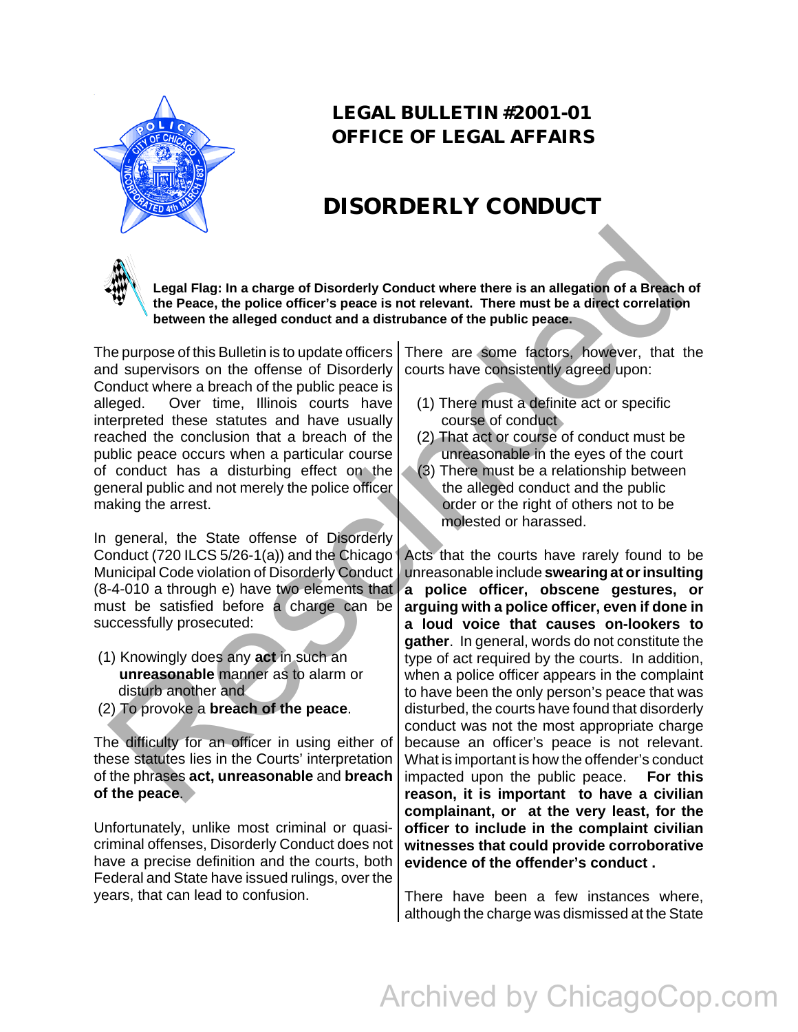

## **LEGAL BULLETIN #2001-01 OFFICE OF LEGAL AFFAIRS**

## **DISORDERLY CONDUCT**

**Legal Flag: In a charge of Disorderly Conduct where there is an allegation of a Breach of the Peace, the police officer's peace is not relevant. There must be a direct correlation between the alleged conduct and a distrubance of the public peace.** 

The purpose of this Bulletin is to update officers and supervisors on the offense of Disorderly Conduct where a breach of the public peace is alleged. Over time, Illinois courts have interpreted these statutes and have usually reached the conclusion that a breach of the public peace occurs when a particular course of conduct has a disturbing effect on the general public and not merely the police officer making the arrest.

In general, the State offense of Disorderly Conduct (720 ILCS 5/26-1(a)) and the Chicago Municipal Code violation of Disorderly Conduct (8-4-010 a through e) have two elements that must be satisfied before a charge can be successfully prosecuted:

- (1) Knowingly does any **act** in such an  **unreasonable** manner as to alarm or disturb another and
- (2) To provoke a **breach of the peace**.

The difficulty for an officer in using either of these statutes lies in the Courts' interpretation of the phrases **act, unreasonable** and **breach of the peace**.

Unfortunately, unlike most criminal or quasicriminal offenses, Disorderly Conduct does not have a precise definition and the courts, both Federal and State have issued rulings, over the years, that can lead to confusion.

There are some factors, however, that the courts have consistently agreed upon:

- (1) There must a definite act or specific course of conduct
- (2) That act or course of conduct must be unreasonable in the eyes of the court
- (3) There must be a relationship between the alleged conduct and the public order or the right of others not to be molested or harassed.

j Acts that the courts have rarely found to be unreasonable include **swearing at or insulting a police officer, obscene gestures, or arguing with a police officer, even if done in a loud voice that causes on-lookers to gather**. In general, words do not constitute the type of act required by the courts. In addition, when a police officer appears in the complaint to have been the only person's peace that was disturbed, the courts have found that disorderly conduct was not the most appropriate charge because an officer's peace is not relevant. What is important is how the offender's conduct impacted upon the public peace. **For this reason, it is important to have a civilian complainant, or at the very least, for the officer to include in the complaint civilian witnesses that could provide corroborative evidence of the offender's conduct .**  We legal Flag: In a charge of Disorderly Conduct where there is an allegation of a Breach, the Peace, the police officer's peace is not relevant. There must be a direct correlation between the alleged conduct what a distru

> There have been a few instances where, although the charge was dismissed at the State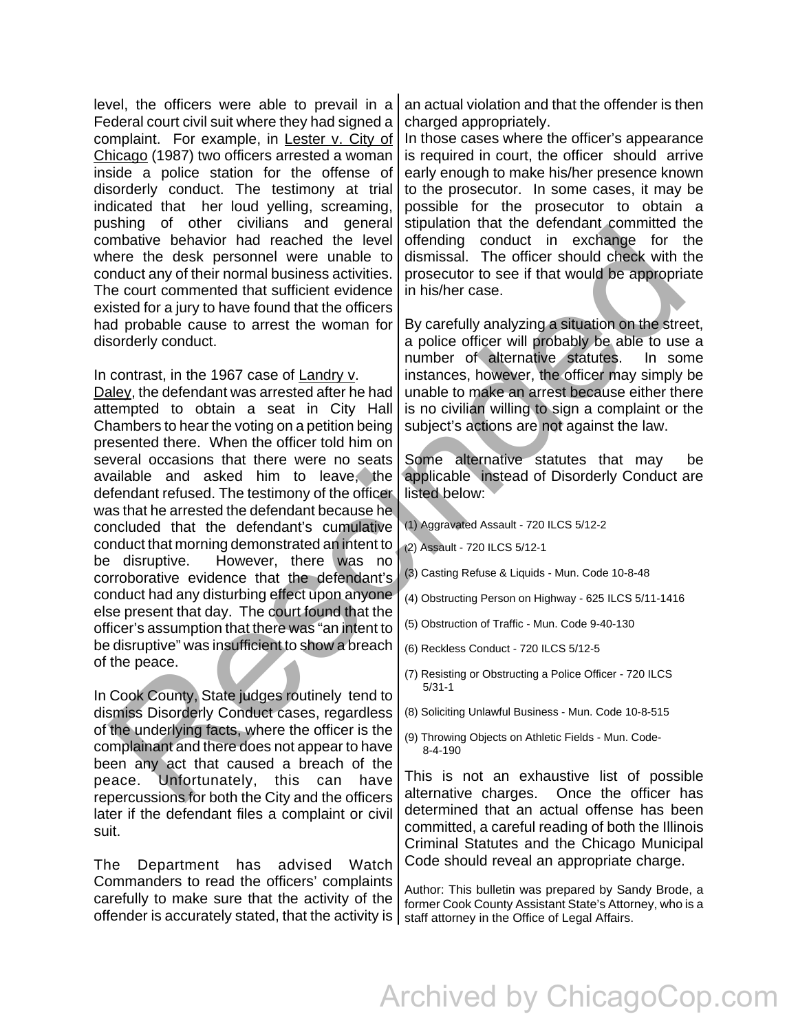level, the officers were able to prevail in a Federal court civil suit where they had signed a complaint. For example, in Lester v. City of Chicago (1987) two officers arrested a woman inside a police station for the offense of disorderly conduct. The testimony at trial indicated that her loud yelling, screaming, pushing of other civilians and general combative behavior had reached the level where the desk personnel were unable to conduct any of their normal business activities. The court commented that sufficient evidence existed for a jury to have found that the officers had probable cause to arrest the woman for disorderly conduct.

In contrast, in the 1967 case of Landry v.

Daley, the defendant was arrested after he had attempted to obtain a seat in City Hall Chambers to hear the voting on a petition being presented there. When the officer told him on several occasions that there were no seats available and asked him to leave, the defendant refused. The testimony of the officer was that he arrested the defendant because he concluded that the defendant's cumulative conduct that morning demonstrated an intent to be disruptive. However, there was no corroborative evidence that the defendant's conduct had any disturbing effect upon anyone else present that day. The court found that the officer's assumption that there was "an intent to be disruptive" was insufficient to show a breach of the peace. Issuary of the control and the detection of the control of the method of the method of the detection of the detection of the method of the method of the method of the method of the method of the method of the control of t

In Cook County, State judges routinely tend to dismiss Disorderly Conduct cases, regardless of the underlying facts, where the officer is the complainant and there does not appear to have been any act that caused a breach of the peace. Unfortunately, this can have repercussions for both the City and the officers later if the defendant files a complaint or civil suit.

The Department has advised Watch Commanders to read the officers' complaints carefully to make sure that the activity of the offender is accurately stated, that the activity is  $\vert$  staff attorney in the Office of Legal Affairs.

an actual violation and that the offender is then charged appropriately.

In those cases where the officer's appearance is required in court, the officer should arrive early enough to make his/her presence known to the prosecutor. In some cases, it may be possible for the prosecutor to obtain a stipulation that the defendant committed the offending conduct in exchange for the dismissal. The officer should check with the prosecutor to see if that would be appropriate in his/her case.

By carefully analyzing a situation on the street, a police officer will probably be able to use a number of alternative statutes. In some instances, however, the officer may simply be unable to make an arrest because either there is no civilian willing to sign a complaint or the subject's actions are not against the law.

Some alternative statutes that may be applicable instead of Disorderly Conduct are listed below:

(1) Aggravated Assault - 720 ILCS 5/12-2

- (2) Assault 720 ILCS 5/12-1
- (3) Casting Refuse & Liquids Mun. Code 10-8-48
- (4) Obstructing Person on Highway 625 ILCS 5/11-1416
- (5) Obstruction of Traffic Mun. Code 9-40-130
- (6) Reckless Conduct 720 ILCS 5/12-5
- (7) Resisting or Obstructing a Police Officer 720 ILCS 5/31-1
- (8) Soliciting Unlawful Business Mun. Code 10-8-515
- (9) Throwing Objects on Athletic Fields Mun. Code- 8-4-190

This is not an exhaustive list of possible alternative charges. Once the officer has determined that an actual offense has been committed, a careful reading of both the Illinois Criminal Statutes and the Chicago Municipal Code should reveal an appropriate charge.

Author: This bulletin was prepared by Sandy Brode, a former Cook County Assistant State's Attorney, who is a

## Archived by ChicagoCop.com